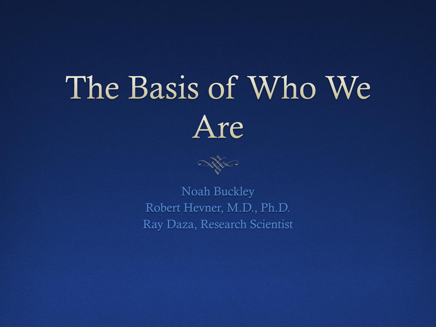# The Basis of Who We Are



Noah Buckley Robert Hevner, M.D., Ph.D. Ray Daza, Research Scientist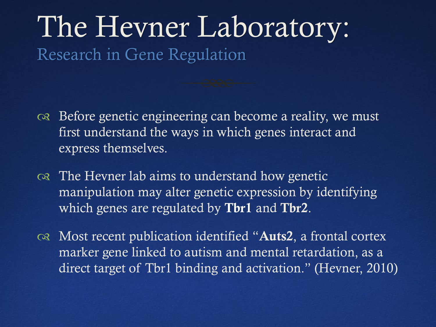### The Hevner Laboratory: Research in Gene Regulation

- or Before genetic engineering can become a reality, we must first understand the ways in which genes interact and express themselves.
- $\infty$  The Hevner lab aims to understand how genetic manipulation may alter genetic expression by identifying which genes are regulated by **Tbr1** and **Tbr2**.
- $\infty$  Most recent publication identified "Auts2, a frontal cortex marker gene linked to autism and mental retardation, as a direct target of Tbr1 binding and activation." (Hevner, 2010)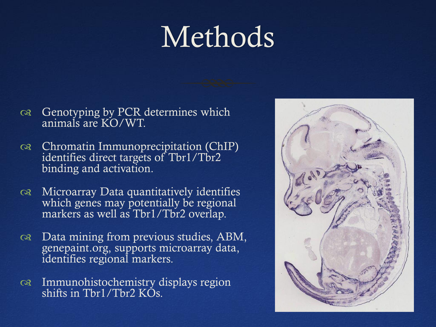## Methods

- $\infty$  Genotyping by PCR determines which animals are KO/WT.
- Chromatin Immunoprecipitation (ChIP) identifies direct targets of Tbr1/Tbr2 binding and activation.
- Microarray Data quantitatively identifies which genes may potentially be regional markers as well as Tbr1/Tbr2 overlap.
- Data mining from previous studies, ABM, genepaint.org, supports microarray data, identifies regional markers.
- Immunohistochemistry displays region shifts in Tbr1/Tbr2 KOs.

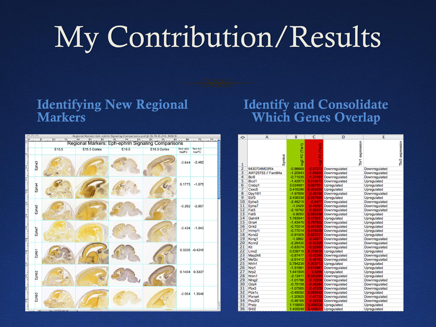## My Contribution/Results

#### Identifying New Regional **Markers**

#### Identify and Consolidate Which Genes Overlap

|                                  |                   |                                                                                                                                                                       |              | Regional Markers Eph-ephrin Signaling Comparisons.psd @ 16.7% (0.244, RGB/8) |              |                    |                   |  |  |  |
|----------------------------------|-------------------|-----------------------------------------------------------------------------------------------------------------------------------------------------------------------|--------------|------------------------------------------------------------------------------|--------------|--------------------|-------------------|--|--|--|
|                                  |                   | งที่มีของเป็นแบบเป็นแบบเป็นแบบเป็นเป็นเป็นเป็นแบบเป็นแบบเป็นแบบเป็นแบบเป็นแบบเป็นแบบเป็นแบบเป็นแบบเป็นเบ<br>สาราคม Segional Markers: Eph-ephrin Signaling Comparisons |              |                                                                              |              |                    |                   |  |  |  |
|                                  |                   | E15.5                                                                                                                                                                 | E15.5 Cortex | E18.5                                                                        | E18.5 Cortex | Tbr2 cKO<br>log2FC | Tbr1 KO<br>log2FC |  |  |  |
| ە<br>ئىنىنىت                     | Epha <sub>3</sub> |                                                                                                                                                                       |              |                                                                              |              | $-0.644$           | $-2.462$          |  |  |  |
| <b>MARITIA</b>                   | Epha4             |                                                                                                                                                                       |              |                                                                              |              | 0.1775             | $-1.075$          |  |  |  |
| $rac{30}{20}$                    | Epha5             |                                                                                                                                                                       |              |                                                                              |              | $-0.262$           | $-2.857$          |  |  |  |
|                                  | <b>Epha7</b>      |                                                                                                                                                                       |              |                                                                              |              |                    | $-0.434 -1.043$   |  |  |  |
| <b>Particularly</b><br>1.1111111 | Ephb <sub>1</sub> |                                                                                                                                                                       |              |                                                                              |              |                    | 0.3336 -0.4245    |  |  |  |
| unitative one                    | Ephb <sub>2</sub> |                                                                                                                                                                       |              |                                                                              |              |                    | 0.1404 0.3337     |  |  |  |
|                                  | Ephb <sub>3</sub> |                                                                                                                                                                       |              |                                                                              |              |                    | $-0.054$ 1.3546   |  |  |  |
|                                  | 16<br>16.67%      | Doc: 217,9M/385,0M                                                                                                                                                    |              |                                                                              |              |                    |                   |  |  |  |

| ◇                       | A                   | B                 | c              | D                      | E               |
|-------------------------|---------------------|-------------------|----------------|------------------------|-----------------|
| $\mathbf{1}$            | Symbol              | (Tbr1)<br>log2 FC | FC (Tbr2)<br>g | Tbr1 expression        | Tbr2 expression |
| $\overline{z}$          | 6430704M03Rik       | $-0.98669$        | $-0.57272$     | Downregulated          | Downregulated   |
| 3                       | AW125753 // Fam84a  | $-1.20943$        |                | -1.55903 Downregulated | Downregulated   |
| 4                       | Bc <sub>i6</sub>    | $-0.71535$        |                | -1.37484 Downregulated | Downregulated   |
| $\overline{\mathbf{5}}$ | Bicd1               | $-1.42973$        |                | 0.514073 Downregulated | Upregulated     |
| 6                       | Crabo1              | 3.024681          |                | 0.967551 Upregulated   | Upregulated     |
| $\overline{7}$          | Cxxc5               | 0.416286          |                | 0.404299 Upregulated   | Upregulated     |
| $\overline{8}$          | Dpy19l1             | $-1.97699$        |                | -0.48166 Downregulated | Downregulated   |
| 9                       | Ebf3                | 2.436336          |                | 2.657695 Upregulated   | Upregulated     |
| 10                      | Epha3               | $-2.46215$        | $-0.6477$      | Downregulated          | Downregulated   |
| 11                      | Epha7               | $-1.0429$         |                | -0.43391 Downregulated | Downregulated   |
| 12                      | Fat3                | $-2.16762$        |                | -0.62207 Downregulated | Downregulated   |
| 13                      | Fstl5               | $-0.8093$         |                | 0.683356 Downregulated | Upregulated     |
| 14                      | Gaint <sub>14</sub> | 1.783941          |                | 0.478257 Upregulated   | Upregulated     |
| 15                      | Gria4               | $-1.43475$        |                | 0.797602 Downregulated | Upregulated     |
| 16                      | Grik2               | $-0.70014$        |                | 0.441825 Downregulated | Upregulated     |
| 17                      | Immp1I              | $-0.77014$        |                | 0.416009 Downregulated | Upregulated     |
| 18                      | Kcnd <sub>2</sub>   | $-0.91505$        |                | 0.803727 Downregulated | Upregulated     |
| 19                      | Kcng1               | $-1.5862$         |                | -0.54871 Downregulated | Downregulated   |
| 20                      | Kcnn <sub>2</sub>   | $-2.26432$        |                | -0.42326 Downregulated | Downregulated   |
| 21                      | Kit                 | $-0.83074$        |                | -0.52965 Downregulated | Downregulated   |
| 22                      | $L$ mo $2$          | 0.538716          |                | 0.709538 Upregulated   | Upregulated     |
| 23                      | Map2k6              | $-0.87477$        |                | -0.42395 Downregulated | Downregulated   |
| 24                      | Mef2c               | $-2.61412$        |                | -0.46762 Downregulated | Downregulated   |
| 25                      | Nhih1               | 0.784235          |                | 1.303713 Upregulated   | Upregulated     |
| 26                      | Nrp1                | $-1.51981$        |                | 0.610881 Downregulated | Upregulated     |
| 27                      | Nrp2                | 1.441905          |                | 0.8296 Upregulated     | Upregulated     |
| 28                      | Nom1                | $-2.12411$        |                | 0.500265 Downregulated | Upregulated     |
| 29                      | Ntng2               | $-1.01786$        |                | -0.72906 Downregulated | Downregulated   |
| 30                      | Odz4                | $-0.75158$        |                | -0.46284 Downregulated | Downregulated   |
| 31                      | Pbx3                | $-1.07565$        |                | -0.43309 Downregulated | Downregulated   |
| 32                      | Pde1c               | $-0.49092$        |                | 0.699592 Downregulated | Upregulated     |
| 33                      | Plxna4              | $-1.20925$        |                | -1.47732 Downregulated | Downregulated   |
| 34                      | Pou3f2              | $-0.46165$        |                | -0.42639 Downregulated | Downregulated   |
| 35                      | Prelp               | 1.118993          |                | 0.466008 Upregulated   | Upregulated     |
| 36                      | Slit <sub>12</sub>  | 1.405549          |                | 0.409231 Upregulated   | Upregulated     |